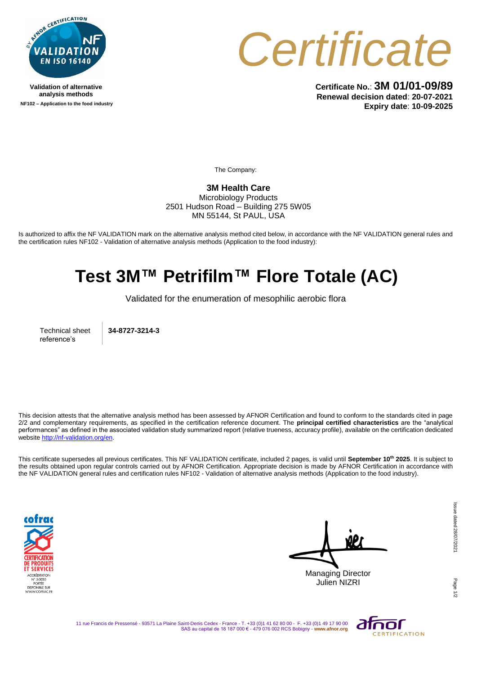

**Validation of alternative analysis methods NF102 – Application to the food industry**



**Certificate No.**: **3M 01/01-09/89 Renewal decision dated**: **20-07-2021 Expiry date**: **10-09-2025**

The Company:

**3M Health Care**  Microbiology Products 2501 Hudson Road – Building 275 5W05 MN 55144, St PAUL, USA

Is authorized to affix the NF VALIDATION mark on the alternative analysis method cited below, in accordance with the NF VALIDATION general rules and the certification rules NF102 - Validation of alternative analysis methods (Application to the food industry):

## **Test 3M™ Petrifilm™ Flore Totale (AC)**

Validated for the enumeration of mesophilic aerobic flora

Technical sheet reference's

**34-8727-3214-3**

This decision attests that the alternative analysis method has been assessed by AFNOR Certification and found to conform to the standards cited in page 2/2 and complementary requirements, as specified in the certification reference document. The **principal certified characteristics** are the "analytical performances" as defined in the associated validation study summarized report (relative trueness, accuracy profile), available on the certification dedicated websit[e http://nf-validation.org/en.](http://nf-validation.org/en)

This certificate supersedes all previous certificates. This NF VALIDATION certificate, included 2 pages, is valid until **September 10th 2025**. It is subject to the results obtained upon regular controls carried out by AFNOR Certification. Appropriate decision is made by AFNOR Certification in accordance with the NF VALIDATION general rules and certification rules NF102 - Validation of alternative analysis methods (Application to the food industry).



Managing Director Julien NIZRI

11 rue Francis de Pressensé - 93571 La Plaine Saint-Denis Cedex - France - T. +33 (0)1 41 62 80 00 - F. +33 (0)1 49 17 90 00 SAS au capital de 18 187 000 € - 479 076 002 RCS Bobigny - **www.afnor.org**